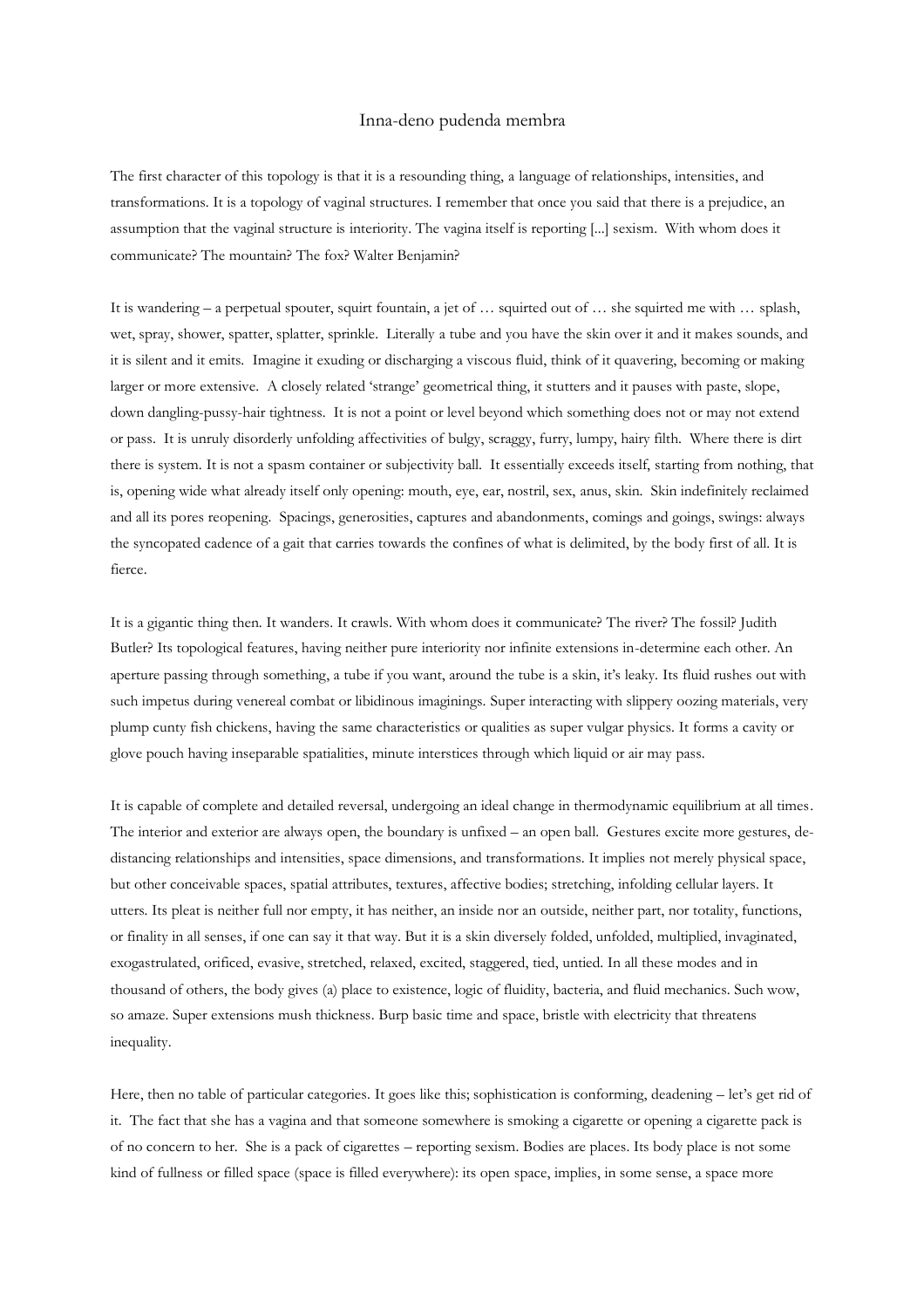## Inna-deno pudenda membra

The first character of this topology is that it is a resounding thing, a language of relationships, intensities, and transformations. It is a topology of vaginal structures. I remember that once you said that there is a prejudice, an assumption that the vaginal structure is interiority. The vagina itself is reporting [...] sexism. With whom does it communicate? The mountain? The fox? Walter Benjamin?

It is wandering – a perpetual spouter, squirt fountain, a jet of … squirted out of … she squirted me with … splash, wet, spray, shower, spatter, splatter, sprinkle. Literally a tube and you have the skin over it and it makes sounds, and it is silent and it emits. Imagine it exuding or discharging a viscous fluid, think of it quavering, becoming or making larger or more extensive. A closely related 'strange' geometrical thing, it stutters and it pauses with paste, slope, down dangling-pussy-hair tightness. It is not a point or level beyond which something does not or may not extend or pass. It is unruly disorderly unfolding affectivities of bulgy, scraggy, furry, lumpy, hairy filth. Where there is dirt there is system. It is not a spasm container or subjectivity ball. It essentially exceeds itself, starting from nothing, that is, opening wide what already itself only opening: mouth, eye, ear, nostril, sex, anus, skin. Skin indefinitely reclaimed and all its pores reopening. Spacings, generosities, captures and abandonments, comings and goings, swings: always the syncopated cadence of a gait that carries towards the confines of what is delimited, by the body first of all. It is fierce.

It is a gigantic thing then. It wanders. It crawls. With whom does it communicate? The river? The fossil? Judith Butler? Its topological features, having neither pure interiority nor infinite extensions in-determine each other. An aperture passing through something, a tube if you want, around the tube is a skin, it's leaky. Its fluid rushes out with such impetus during venereal combat or libidinous imaginings. Super interacting with slippery oozing materials, very plump cunty fish chickens, having the same characteristics or qualities as super vulgar physics. It forms a cavity or glove pouch having inseparable spatialities, minute interstices through which liquid or air may pass.

It is capable of complete and detailed reversal, undergoing an ideal change in thermodynamic equilibrium at all times. The interior and exterior are always open, the boundary is unfixed – an open ball. Gestures excite more gestures, dedistancing relationships and intensities, space dimensions, and transformations. It implies not merely physical space, but other conceivable spaces, spatial attributes, textures, affective bodies; stretching, infolding cellular layers. It utters. Its pleat is neither full nor empty, it has neither, an inside nor an outside, neither part, nor totality, functions, or finality in all senses, if one can say it that way. But it is a skin diversely folded, unfolded, multiplied, invaginated, exogastrulated, orificed, evasive, stretched, relaxed, excited, staggered, tied, untied. In all these modes and in thousand of others, the body gives (a) place to existence, logic of fluidity, bacteria, and fluid mechanics. Such wow, so amaze. Super extensions mush thickness. Burp basic time and space, bristle with electricity that threatens inequality.

Here, then no table of particular categories. It goes like this; sophistication is conforming, deadening – let's get rid of it. The fact that she has a vagina and that someone somewhere is smoking a cigarette or opening a cigarette pack is of no concern to her. She is a pack of cigarettes – reporting sexism. Bodies are places. Its body place is not some kind of fullness or filled space (space is filled everywhere): its open space, implies, in some sense, a space more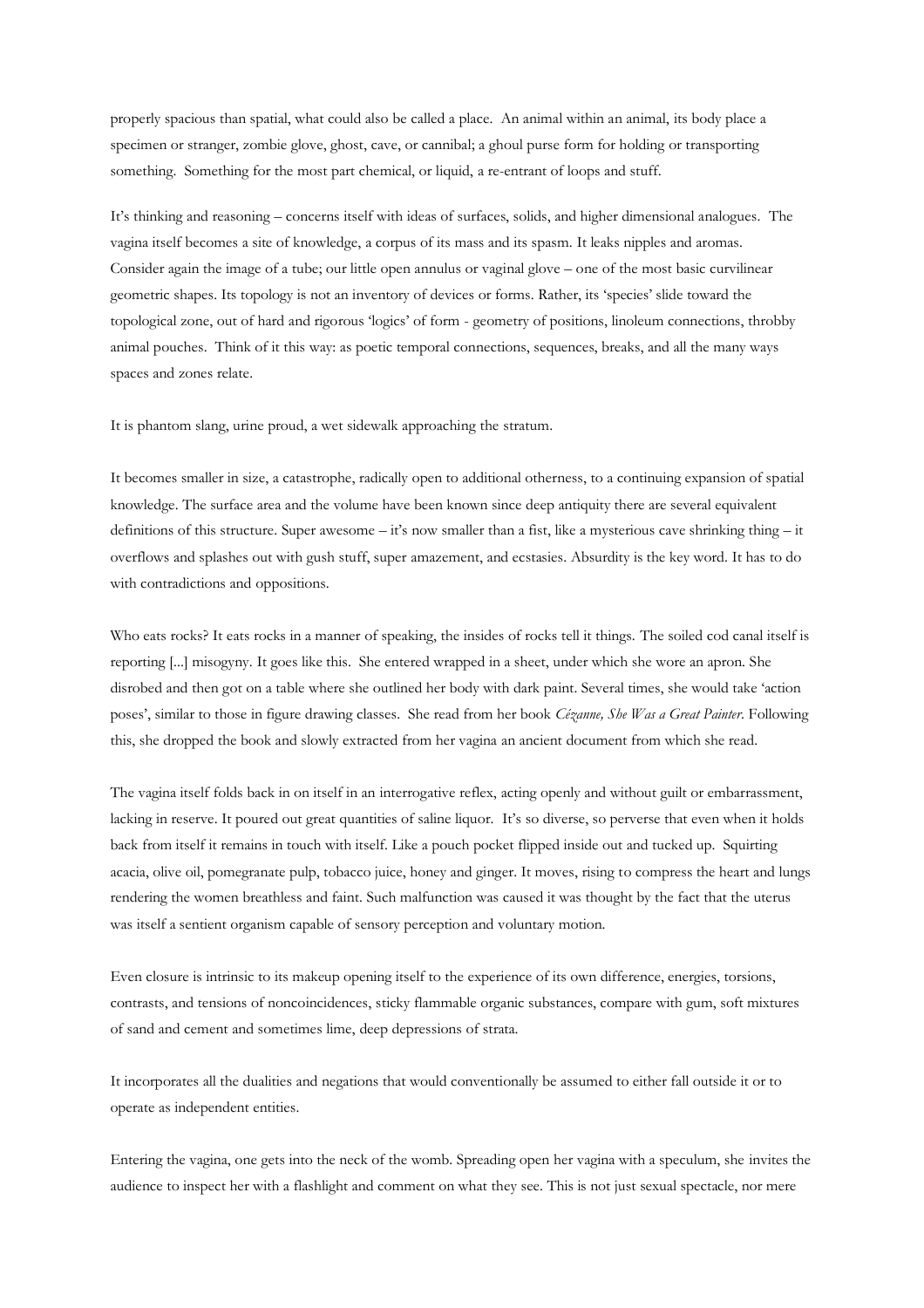properly spacious than spatial, what could also be called a place. An animal within an animal, its body place a specimen or stranger, zombie glove, ghost, cave, or cannibal; a ghoul purse form for holding or transporting something. Something for the most part chemical, or liquid, a re-entrant of loops and stuff.

It's thinking and reasoning – concerns itself with ideas of surfaces, solids, and higher dimensional analogues. The vagina itself becomes a site of knowledge, a corpus of its mass and its spasm. It leaks nipples and aromas. Consider again the image of a tube; our little open annulus or vaginal glove – one of the most basic curvilinear geometric shapes. Its topology is not an inventory of devices or forms. Rather, its 'species' slide toward the topological zone, out of hard and rigorous 'logics' of form - geometry of positions, linoleum connections, throbby animal pouches. Think of it this way: as poetic temporal connections, sequences, breaks, and all the many ways spaces and zones relate.

It is phantom slang, urine proud, a wet sidewalk approaching the stratum.

It becomes smaller in size, a catastrophe, radically open to additional otherness, to a continuing expansion of spatial knowledge. The surface area and the volume have been known since deep antiquity there are several equivalent definitions of this structure. Super awesome – it's now smaller than a fist, like a mysterious cave shrinking thing – it overflows and splashes out with gush stuff, super amazement, and ecstasies. Absurdity is the key word. It has to do with contradictions and oppositions.

Who eats rocks? It eats rocks in a manner of speaking, the insides of rocks tell it things. The soiled cod canal itself is reporting [...] misogyny. It goes like this. She entered wrapped in a sheet, under which she wore an apron. She disrobed and then got on a table where she outlined her body with dark paint. Several times, she would take 'action poses', similar to those in figure drawing classes. She read from her book *Cézanne, She Was a Great Painter*. Following this, she dropped the book and slowly extracted from her vagina an ancient document from which she read.

The vagina itself folds back in on itself in an interrogative reflex, acting openly and without guilt or embarrassment, lacking in reserve. It poured out great quantities of saline liquor. It's so diverse, so perverse that even when it holds back from itself it remains in touch with itself. Like a pouch pocket flipped inside out and tucked up. Squirting acacia, olive oil, pomegranate pulp, tobacco juice, honey and ginger. It moves, rising to compress the heart and lungs rendering the women breathless and faint. Such malfunction was caused it was thought by the fact that the uterus was itself a sentient organism capable of sensory perception and voluntary motion.

Even closure is intrinsic to its makeup opening itself to the experience of its own difference, energies, torsions, contrasts, and tensions of noncoincidences, sticky flammable organic substances, compare with gum, soft mixtures of sand and cement and sometimes lime, deep depressions of strata.

It incorporates all the dualities and negations that would conventionally be assumed to either fall outside it or to operate as independent entities.

Entering the vagina, one gets into the neck of the womb. Spreading open her vagina with a speculum, she invites the audience to inspect her with a flashlight and comment on what they see. This is not just sexual spectacle, nor mere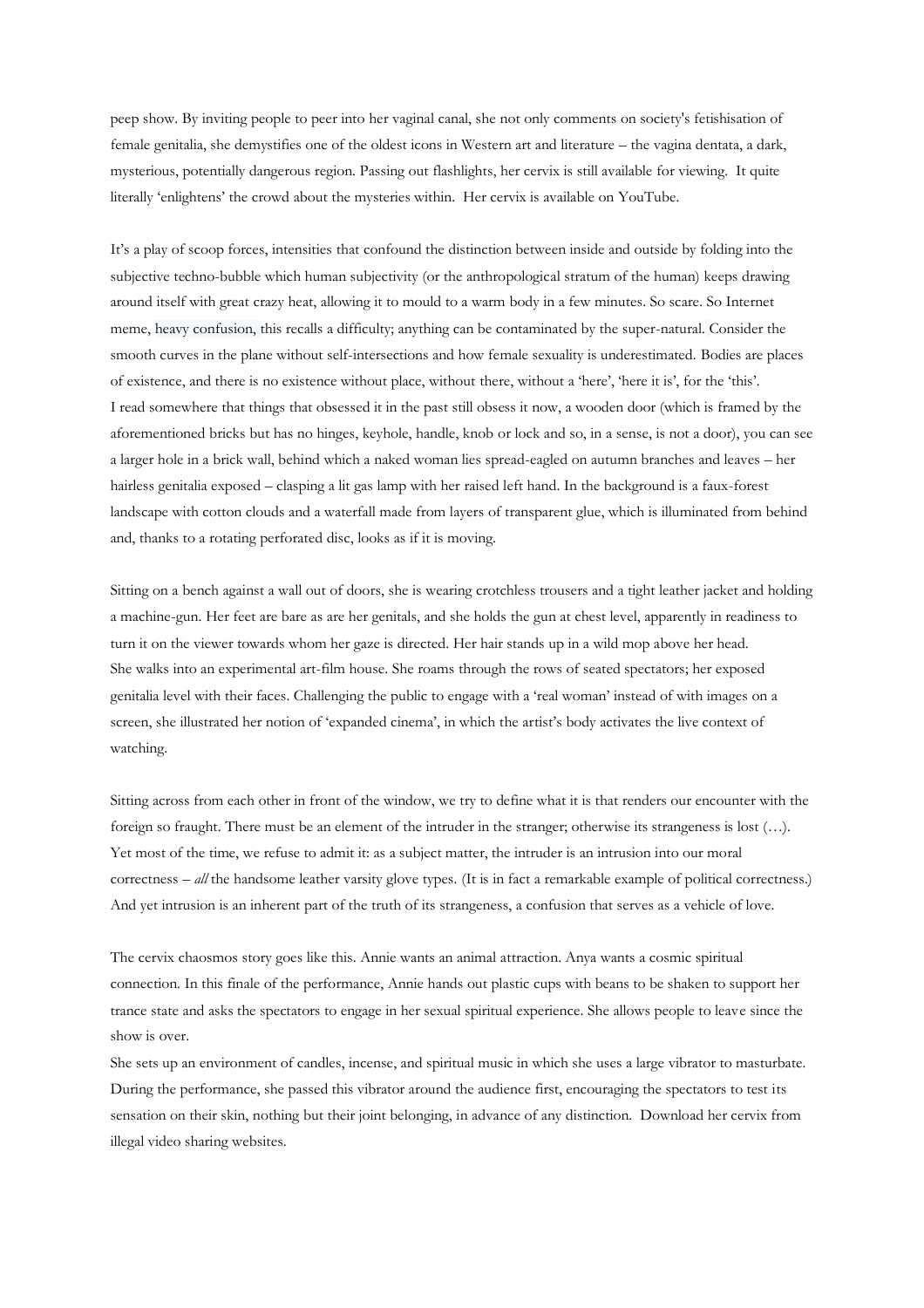peep show. By inviting people to peer into her vaginal canal, she not only comments on society's fetishisation of female genitalia, she demystifies one of the oldest icons in Western art and literature – the vagina dentata, a dark, mysterious, potentially dangerous region. Passing out flashlights, her cervix is still available for viewing. It quite literally 'enlightens' the crowd about the mysteries within. Her cervix is available on YouTube.

It's a play of scoop forces, intensities that confound the distinction between inside and outside by folding into the subjective techno-bubble which human subjectivity (or the anthropological stratum of the human) keeps drawing around itself with great crazy heat, allowing it to mould to a warm body in a few minutes. So scare. So Internet meme, heavy confusion, this recalls a difficulty; anything can be contaminated by the super-natural. Consider the smooth curves in the plane without self-intersections and how female sexuality is underestimated. Bodies are places of existence, and there is no existence without place, without there, without a 'here', 'here it is', for the 'this'. I read somewhere that things that obsessed it in the past still obsess it now, a wooden door (which is framed by the aforementioned bricks but has no hinges, keyhole, handle, knob or lock and so, in a sense, is not a door), you can see a larger hole in a brick wall, behind which a naked woman lies spread-eagled on autumn branches and leaves – her hairless genitalia exposed – clasping a lit gas lamp with her raised left hand. In the background is a faux-forest landscape with cotton clouds and a waterfall made from layers of transparent glue, which is illuminated from behind and, thanks to a rotating perforated disc, looks as if it is moving.

Sitting on a bench against a wall out of doors, she is wearing crotchless trousers and a tight leather jacket and holding a machine-gun. Her feet are bare as are her genitals, and she holds the gun at chest level, apparently in readiness to turn it on the viewer towards whom her gaze is directed. Her hair stands up in a wild mop above her head. She walks into an experimental art-film house. She roams through the rows of seated spectators; her exposed genitalia level with their faces. Challenging the public to engage with a 'real woman' instead of with images on a screen, she illustrated her notion of 'expanded cinema', in which the artist's body activates the live context of watching.

Sitting across from each other in front of the window, we try to define what it is that renders our encounter with the foreign so fraught. There must be an element of the intruder in the stranger; otherwise its strangeness is lost (…). Yet most of the time, we refuse to admit it: as a subject matter, the intruder is an intrusion into our moral correctness *– all* the handsome leather varsity glove types*.* (It is in fact a remarkable example of political correctness.) And yet intrusion is an inherent part of the truth of its strangeness, a confusion that serves as a vehicle of love.

The cervix chaosmos story goes like this. Annie wants an animal attraction. Anya wants a cosmic spiritual connection. In this finale of the performance, Annie hands out plastic cups with beans to be shaken to support her trance state and asks the spectators to engage in her sexual spiritual experience. She allows people to leave since the show is over.

She sets up an environment of candles, incense, and spiritual music in which she uses a large vibrator to masturbate. During the performance, she passed this vibrator around the audience first, encouraging the spectators to test its sensation on their skin, nothing but their joint belonging, in advance of any distinction. Download her cervix from illegal video sharing websites.